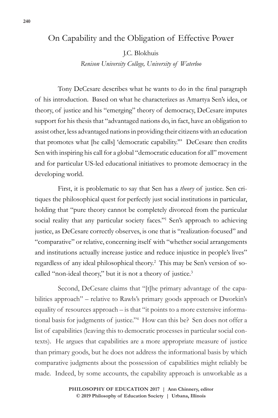## On Capability and the Obligation of Effective Power

J.C. Blokhuis

*Renison University College, University of Waterloo*

Tony DeCesare describes what he wants to do in the final paragraph of his introduction. Based on what he characterizes as Amartya Sen's idea, or theory, of justice and his "emerging" theory of democracy, DeCesare imputes support for his thesis that "advantaged nations do, in fact, have an obligation to assist other, less advantaged nations in providing their citizens with an education that promotes what [he calls] 'democratic capability.'" DeCesare then credits Sen with inspiring his call for a global "democratic education for all" movement and for particular US-led educational initiatives to promote democracy in the developing world.

First, it is problematic to say that Sen has a *theory* of justice. Sen critiques the philosophical quest for perfectly just social institutions in particular, holding that "pure theory cannot be completely divorced from the particular social reality that any particular society faces."<sup>1</sup> Sen's approach to achieving justice, as DeCesare correctly observes, is one that is "realization-focused" and "comparative" or relative, concerning itself with "whether social arrangements and institutions actually increase justice and reduce injustice in people's lives" regardless of any ideal philosophical theory.2 This may be Sen's version of socalled "non-ideal theory," but it is not a theory of justice.<sup>3</sup>

Second, DeCesare claims that "[t]he primary advantage of the capabilities approach" – relative to Rawls's primary goods approach or Dworkin's equality of resources approach – is that "it points to a more extensive informational basis for judgments of justice."4 How can this be? Sen does not offer a list of capabilities (leaving this to democratic processes in particular social contexts). He argues that capabilities are a more appropriate measure of justice than primary goods, but he does not address the informational basis by which comparative judgments about the possession of capabilities might reliably be made. Indeed, by some accounts, the capability approach is unworkable as a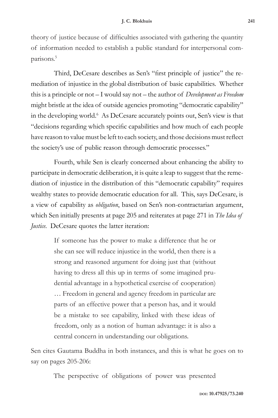theory of justice because of difficulties associated with gathering the quantity of information needed to establish a public standard for interpersonal comparisons.5

Third, DeCesare describes as Sen's "first principle of justice" the remediation of injustice in the global distribution of basic capabilities. Whether this is a principle or not – I would say not – the author of *Development as Freedom* might bristle at the idea of outside agencies promoting "democratic capability" in the developing world.<sup>6</sup> As DeCesare accurately points out, Sen's view is that "decisions regarding which specific capabilities and how much of each people have reason to value must be left to each society, and those decisions must reflect the society's use of public reason through democratic processes."

Fourth, while Sen is clearly concerned about enhancing the ability to participate in democratic deliberation, it is quite a leap to suggest that the remediation of injustice in the distribution of this "democratic capability" requires wealthy states to provide democratic education for all. This, says DeCesare, is a view of capability as *obligation*, based on Sen's non-contractarian argument, which Sen initially presents at page 205 and reiterates at page 271 in *The Idea of Justice*. DeCesare quotes the latter iteration:

> If someone has the power to make a difference that he or she can see will reduce injustice in the world, then there is a strong and reasoned argument for doing just that (without having to dress all this up in terms of some imagined prudential advantage in a hypothetical exercise of cooperation) … Freedom in general and agency freedom in particular are parts of an effective power that a person has, and it would be a mistake to see capability, linked with these ideas of freedom, only as a notion of human advantage: it is also a central concern in understanding our obligations.

Sen cites Gautama Buddha in both instances, and this is what he goes on to say on pages 205-206:

The perspective of obligations of power was presented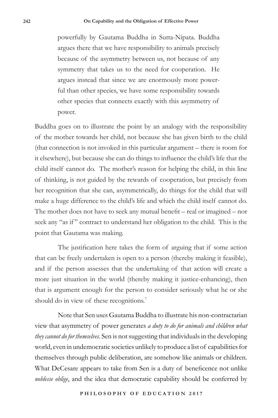powerfully by Gautama Buddha in Sutta-Nipata. Buddha argues there that we have responsibility to animals precisely because of the asymmetry between us, not because of any symmetry that takes us to the need for cooperation. He argues instead that since we are enormously more powerful than other species, we have some responsibility towards other species that connects exactly with this asymmetry of power.

Buddha goes on to illustrate the point by an analogy with the responsibility of the mother towards her child, not because she has given birth to the child (that connection is not invoked in this particular argument – there is room for it elsewhere), but because she can do things to influence the child's life that the child itself cannot do. The mother's reason for helping the child, in this line of thinking, is not guided by the rewards of cooperation, but precisely from her recognition that she can, asymmetrically, do things for the child that will make a huge difference to the child's life and which the child itself cannot do. The mother does not have to seek any mutual benefit – real or imagined – nor seek any "as if " contract to understand her obligation to the child. This is the point that Gautama was making.

The justification here takes the form of arguing that if some action that can be freely undertaken is open to a person (thereby making it feasible), and if the person assesses that the undertaking of that action will create a more just situation in the world (thereby making it justice-enhancing), then that is argument enough for the person to consider seriously what he or she should do in view of these recognitions.<sup>7</sup>

Note that Sen uses Gautama Buddha to illustrate his non-contractarian view that asymmetry of power generates *a duty to do for animals and children what they cannot do for themselves*. Sen is not suggesting that individuals in the developing world, even in undemocratic societies unlikely to produce a list of capabilities for themselves through public deliberation, are somehow like animals or children. What DeCesare appears to take from Sen is a duty of beneficence not unlike *noblesse oblige*, and the idea that democratic capability should be conferred by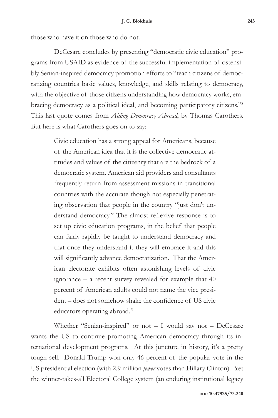those who have it on those who do not.

DeCesare concludes by presenting "democratic civic education" programs from USAID as evidence of the successful implementation of ostensibly Senian-inspired democracy promotion efforts to "teach citizens of democratizing countries basic values, knowledge, and skills relating to democracy, with the objective of those citizens understanding how democracy works, embracing democracy as a political ideal, and becoming participatory citizens."8 This last quote comes from *Aiding Democracy Abroad*, by Thomas Carothers. But here is what Carothers goes on to say:

> Civic education has a strong appeal for Americans, because of the American idea that it is the collective democratic attitudes and values of the citizenry that are the bedrock of a democratic system. American aid providers and consultants frequently return from assessment missions in transitional countries with the accurate though not especially penetrating observation that people in the country "just don't understand democracy." The almost reflexive response is to set up civic education programs, in the belief that people can fairly rapidly be taught to understand democracy and that once they understand it they will embrace it and this will significantly advance democratization. That the American electorate exhibits often astonishing levels of civic ignorance – a recent survey revealed for example that 40 percent of American adults could not name the vice president – does not somehow shake the confidence of US civic educators operating abroad.<sup>9</sup>

Whether "Senian-inspired" or not  $-$  I would say not  $-$  DeCesare wants the US to continue promoting American democracy through its international development programs. At this juncture in history, it's a pretty tough sell. Donald Trump won only 46 percent of the popular vote in the US presidential election (with 2.9 million *fewer* votes than Hillary Clinton). Yet the winner-takes-all Electoral College system (an enduring institutional legacy